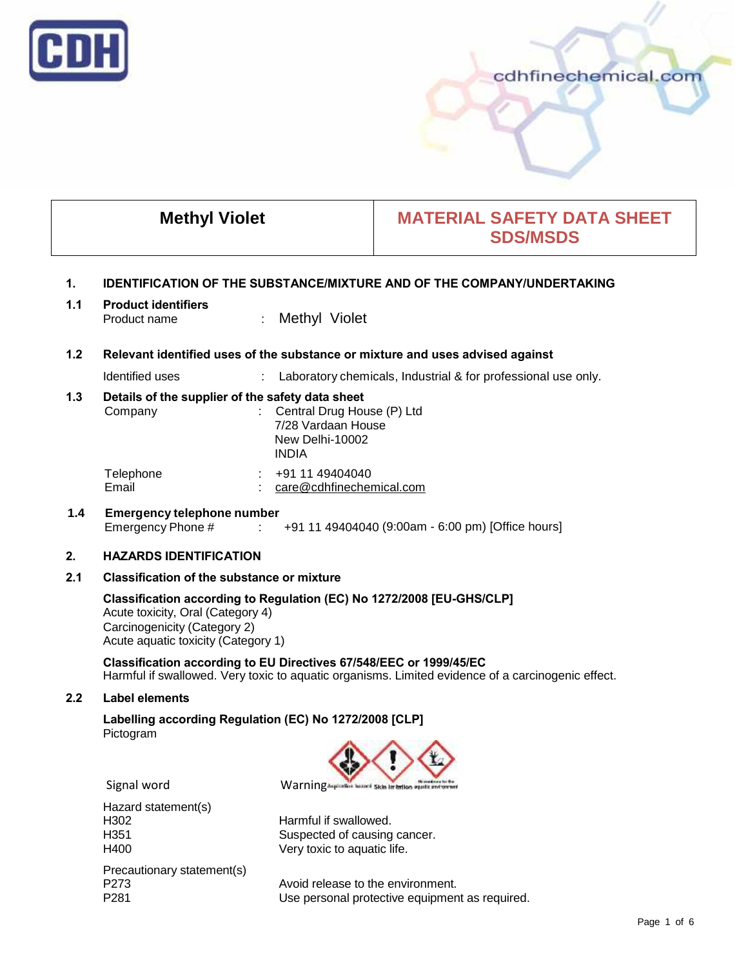

|                | <b>Methyl Violet</b>                                                                                                                                                                                                                   |                                                                                                                    | <b>MATERIAL SAFETY DATA SHEET</b><br><b>SDS/MSDS</b>                                              |  |
|----------------|----------------------------------------------------------------------------------------------------------------------------------------------------------------------------------------------------------------------------------------|--------------------------------------------------------------------------------------------------------------------|---------------------------------------------------------------------------------------------------|--|
| $\mathbf{1}$ . | <b>IDENTIFICATION OF THE SUBSTANCE/MIXTURE AND OF THE COMPANY/UNDERTAKING</b>                                                                                                                                                          |                                                                                                                    |                                                                                                   |  |
| 1.1            | <b>Product identifiers</b><br>Product name                                                                                                                                                                                             | Methyl Violet                                                                                                      |                                                                                                   |  |
| 1.2            |                                                                                                                                                                                                                                        | Relevant identified uses of the substance or mixture and uses advised against                                      |                                                                                                   |  |
|                | Identified uses                                                                                                                                                                                                                        |                                                                                                                    | Laboratory chemicals, Industrial & for professional use only.                                     |  |
| 1.3            | Details of the supplier of the safety data sheet<br>Company                                                                                                                                                                            | Central Drug House (P) Ltd<br>$\mathcal{L}^{\mathcal{L}}$<br>7/28 Vardaan House<br>New Delhi-10002<br><b>INDIA</b> |                                                                                                   |  |
|                | Telephone<br>Email                                                                                                                                                                                                                     | $\div$ +91 11 49404040<br>care@cdhfinechemical.com                                                                 |                                                                                                   |  |
| 1.4            | <b>Emergency telephone number</b><br>Emergency Phone #<br>+91 11 49404040 (9:00am - 6:00 pm) [Office hours]<br>$\mathbb{R}$                                                                                                            |                                                                                                                    |                                                                                                   |  |
| 2.             | <b>HAZARDS IDENTIFICATION</b>                                                                                                                                                                                                          |                                                                                                                    |                                                                                                   |  |
| 2.1            | <b>Classification of the substance or mixture</b><br>Classification according to Regulation (EC) No 1272/2008 [EU-GHS/CLP]<br>Acute toxicity, Oral (Category 4)<br>Carcinogenicity (Category 2)<br>Acute aquatic toxicity (Category 1) |                                                                                                                    |                                                                                                   |  |
|                |                                                                                                                                                                                                                                        |                                                                                                                    |                                                                                                   |  |
|                | Classification according to EU Directives 67/548/EEC or 1999/45/EC                                                                                                                                                                     |                                                                                                                    | Harmful if swallowed. Very toxic to aquatic organisms. Limited evidence of a carcinogenic effect. |  |
| 2.2            | <b>Label elements</b>                                                                                                                                                                                                                  |                                                                                                                    |                                                                                                   |  |
|                | Labelling according Regulation (EC) No 1272/2008 [CLP]<br>Pictogram                                                                                                                                                                    |                                                                                                                    |                                                                                                   |  |
|                |                                                                                                                                                                                                                                        |                                                                                                                    |                                                                                                   |  |
|                | Signal word                                                                                                                                                                                                                            | WarningAspiration beause                                                                                           | Skin in briton                                                                                    |  |
|                | Hazard statement(s)<br>H302<br>H351<br>H400                                                                                                                                                                                            | Harmful if swallowed.<br>Suspected of causing cancer.<br>Very toxic to aquatic life.                               |                                                                                                   |  |
|                | Precautionary statement(s)<br>P273<br>P281                                                                                                                                                                                             | Avoid release to the environment.                                                                                  | Use personal protective equipment as required.                                                    |  |

Use personal protective equipment as required.

cdhfinechemical.com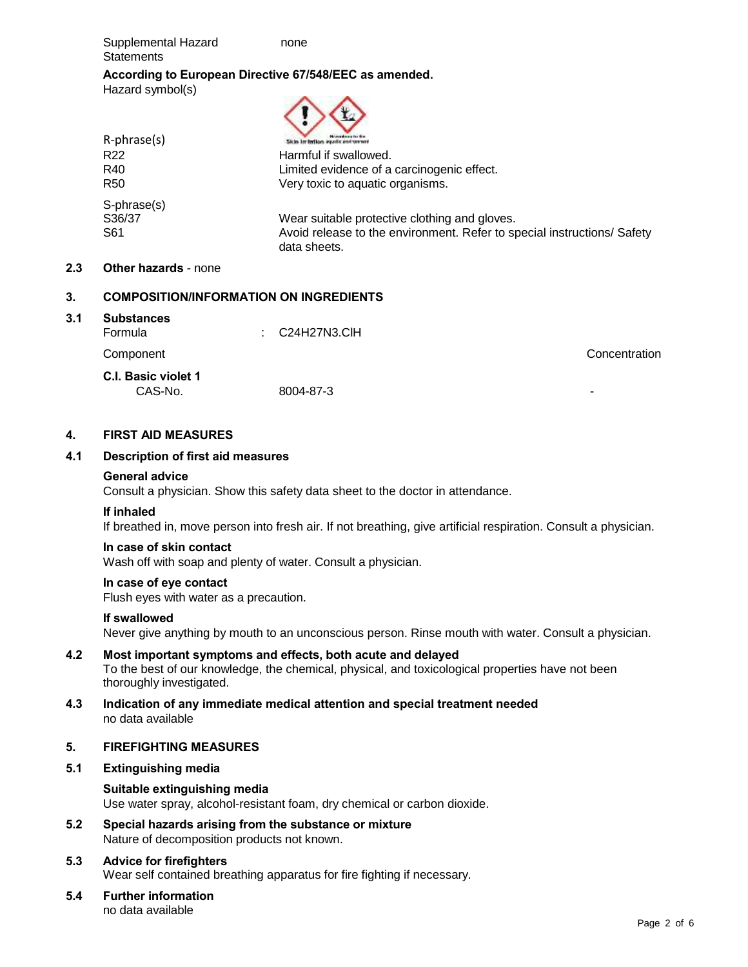Supplemental Hazard none **Statements** 

# **According to European Directive 67/548/EEC as amended.** Hazard symbol(s)  $\wedge\wedge$

| $R$ -phrase $(s)$ | Sich, in britan equals and press                                                        |
|-------------------|-----------------------------------------------------------------------------------------|
| R <sub>22</sub>   | Harmful if swallowed.                                                                   |
| R40               | Limited evidence of a carcinogenic effect.                                              |
| R <sub>50</sub>   | Very toxic to aquatic organisms.                                                        |
| S-phrase(s)       |                                                                                         |
| S36/37            | Wear suitable protective clothing and gloves.                                           |
| S61               | Avoid release to the environment. Refer to special instructions/ Safety<br>data sheets. |

# **2.3 Other hazards** - none

# **3. COMPOSITION/INFORMATION ON INGREDIENTS**

# **3.1 Substances** Formula : C24H27N3.ClH Component Concentration **C.I. Basic violet 1** CAS-No. 8004-87-3 -

# **4. FIRST AID MEASURES**

# **4.1 Description of first aid measures**

# **General advice**

Consult a physician. Show this safety data sheet to the doctor in attendance.

# **If inhaled**

If breathed in, move person into fresh air. If not breathing, give artificial respiration. Consult a physician.

# **In case of skin contact**

Wash off with soap and plenty of water. Consult a physician.

#### **In case of eye contact**

Flush eyes with water as a precaution.

# **If swallowed**

Never give anything by mouth to an unconscious person. Rinse mouth with water. Consult a physician.

# **4.2 Most important symptoms and effects, both acute and delayed** To the best of our knowledge, the chemical, physical, and toxicological properties have not been thoroughly investigated.

**4.3 Indication of any immediate medical attention and special treatment needed** no data available

# **5. FIREFIGHTING MEASURES**

# **5.1 Extinguishing media**

# **Suitable extinguishing media** Use water spray, alcohol-resistant foam, dry chemical or carbon dioxide.

**5.2 Special hazards arising from the substance or mixture** Nature of decomposition products not known.

# **5.3 Advice for firefighters**

Wear self contained breathing apparatus for fire fighting if necessary.

#### **5.4 Further information** no data available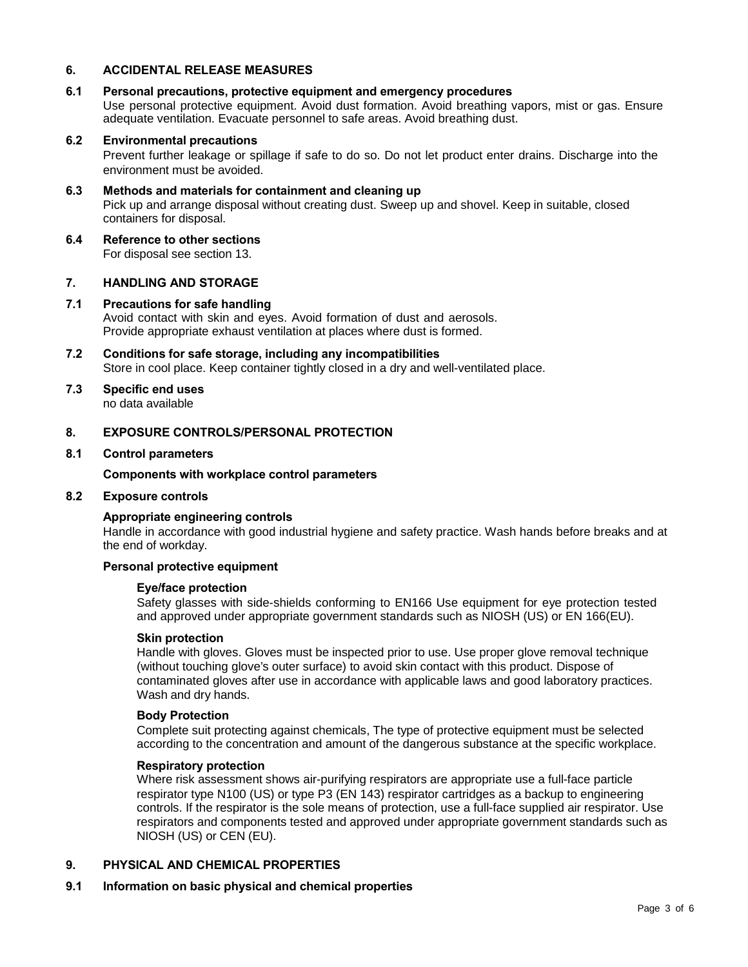# **6. ACCIDENTAL RELEASE MEASURES**

#### **6.1 Personal precautions, protective equipment and emergency procedures**

Use personal protective equipment. Avoid dust formation. Avoid breathing vapors, mist or gas. Ensure adequate ventilation. Evacuate personnel to safe areas. Avoid breathing dust.

# **6.2 Environmental precautions**

Prevent further leakage or spillage if safe to do so. Do not let product enter drains. Discharge into the environment must be avoided.

# **6.3 Methods and materials for containment and cleaning up**

Pick up and arrange disposal without creating dust. Sweep up and shovel. Keep in suitable, closed containers for disposal.

**6.4 Reference to other sections** For disposal see section 13.

# **7. HANDLING AND STORAGE**

#### **7.1 Precautions for safe handling** Avoid contact with skin and eyes. Avoid formation of dust and aerosols. Provide appropriate exhaust ventilation at places where dust is formed.

- **7.2 Conditions for safe storage, including any incompatibilities** Store in cool place. Keep container tightly closed in a dry and well-ventilated place.
- **7.3 Specific end uses** no data available

#### **8. EXPOSURE CONTROLS/PERSONAL PROTECTION**

#### **8.1 Control parameters**

#### **Components with workplace control parameters**

#### **8.2 Exposure controls**

#### **Appropriate engineering controls**

Handle in accordance with good industrial hygiene and safety practice. Wash hands before breaks and at the end of workday.

#### **Personal protective equipment**

#### **Eye/face protection**

Safety glasses with side-shields conforming to EN166 Use equipment for eye protection tested and approved under appropriate government standards such as NIOSH (US) or EN 166(EU).

#### **Skin protection**

Handle with gloves. Gloves must be inspected prior to use. Use proper glove removal technique (without touching glove's outer surface) to avoid skin contact with this product. Dispose of contaminated gloves after use in accordance with applicable laws and good laboratory practices. Wash and dry hands.

#### **Body Protection**

Complete suit protecting against chemicals, The type of protective equipment must be selected according to the concentration and amount of the dangerous substance at the specific workplace.

#### **Respiratory protection**

Where risk assessment shows air-purifying respirators are appropriate use a full-face particle respirator type N100 (US) or type P3 (EN 143) respirator cartridges as a backup to engineering controls. If the respirator is the sole means of protection, use a full-face supplied air respirator. Use respirators and components tested and approved under appropriate government standards such as NIOSH (US) or CEN (EU).

#### **9. PHYSICAL AND CHEMICAL PROPERTIES**

#### **9.1 Information on basic physical and chemical properties**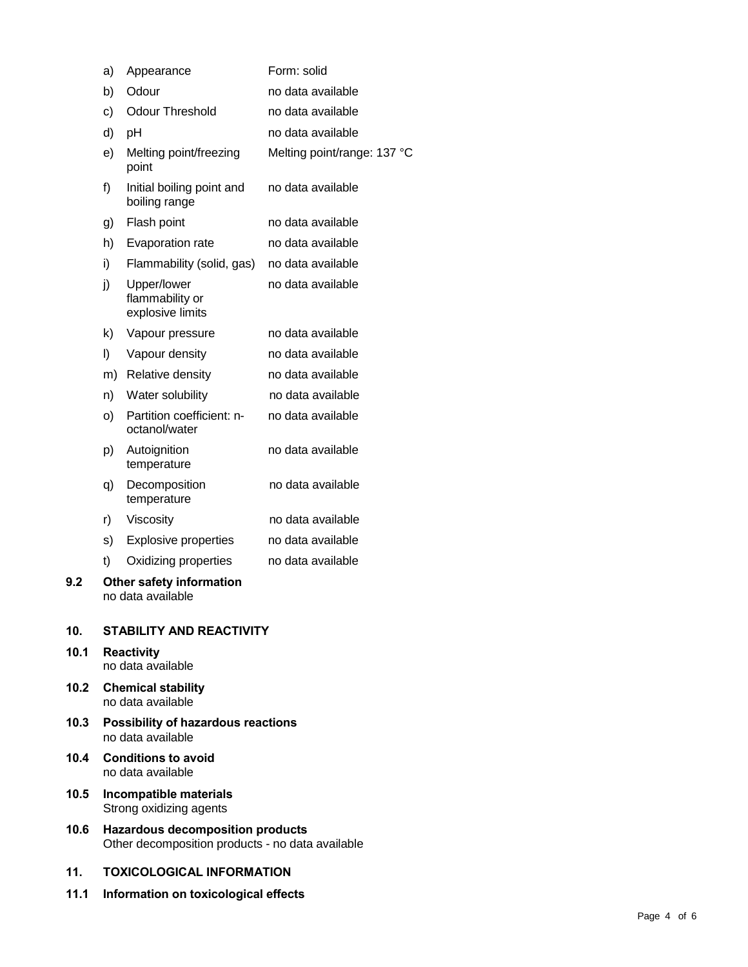|      | a)                                                                                          | Appearance                                         | Form: solid                 |  |  |
|------|---------------------------------------------------------------------------------------------|----------------------------------------------------|-----------------------------|--|--|
|      | b)                                                                                          | Odour                                              | no data available           |  |  |
|      | c)                                                                                          | <b>Odour Threshold</b>                             | no data available           |  |  |
|      | d)                                                                                          | pH                                                 | no data available           |  |  |
|      | e)                                                                                          | Melting point/freezing<br>point                    | Melting point/range: 137 °C |  |  |
|      | f)                                                                                          | Initial boiling point and<br>boiling range         | no data available           |  |  |
|      | g)                                                                                          | Flash point                                        | no data available           |  |  |
|      | h)                                                                                          | Evaporation rate                                   | no data available           |  |  |
|      | i)                                                                                          | Flammability (solid, gas)                          | no data available           |  |  |
|      | j)                                                                                          | Upper/lower<br>flammability or<br>explosive limits | no data available           |  |  |
|      | k)                                                                                          | Vapour pressure                                    | no data available           |  |  |
|      | I)                                                                                          | Vapour density                                     | no data available           |  |  |
|      |                                                                                             | m) Relative density                                | no data available           |  |  |
|      | n)                                                                                          | Water solubility                                   | no data available           |  |  |
|      | O)                                                                                          | Partition coefficient: n-<br>octanol/water         | no data available           |  |  |
|      | p)                                                                                          | Autoignition<br>temperature                        | no data available           |  |  |
|      | q)                                                                                          | Decomposition<br>temperature                       | no data available           |  |  |
|      | r)                                                                                          | Viscosity                                          | no data available           |  |  |
|      | s)                                                                                          | <b>Explosive properties</b>                        | no data available           |  |  |
|      | t)                                                                                          | Oxidizing properties                               | no data available           |  |  |
| 9.2  | Other safety information<br>no data available                                               |                                                    |                             |  |  |
| 10.  |                                                                                             | <b>STABILITY AND REACTIVITY</b>                    |                             |  |  |
| 10.1 | <b>Reactivity</b><br>no data available                                                      |                                                    |                             |  |  |
| 10.2 | <b>Chemical stability</b><br>no data available                                              |                                                    |                             |  |  |
| 10.3 | <b>Possibility of hazardous reactions</b><br>no data available                              |                                                    |                             |  |  |
| 10.4 | <b>Conditions to avoid</b><br>no data available                                             |                                                    |                             |  |  |
| 10.5 | Incompatible materials<br>Strong oxidizing agents                                           |                                                    |                             |  |  |
| 10.6 | <b>Hazardous decomposition products</b><br>Other decomposition products - no data available |                                                    |                             |  |  |
| 11.  | <b>TOXICOLOGICAL INFORMATION</b>                                                            |                                                    |                             |  |  |

**11.1 Information on toxicological effects**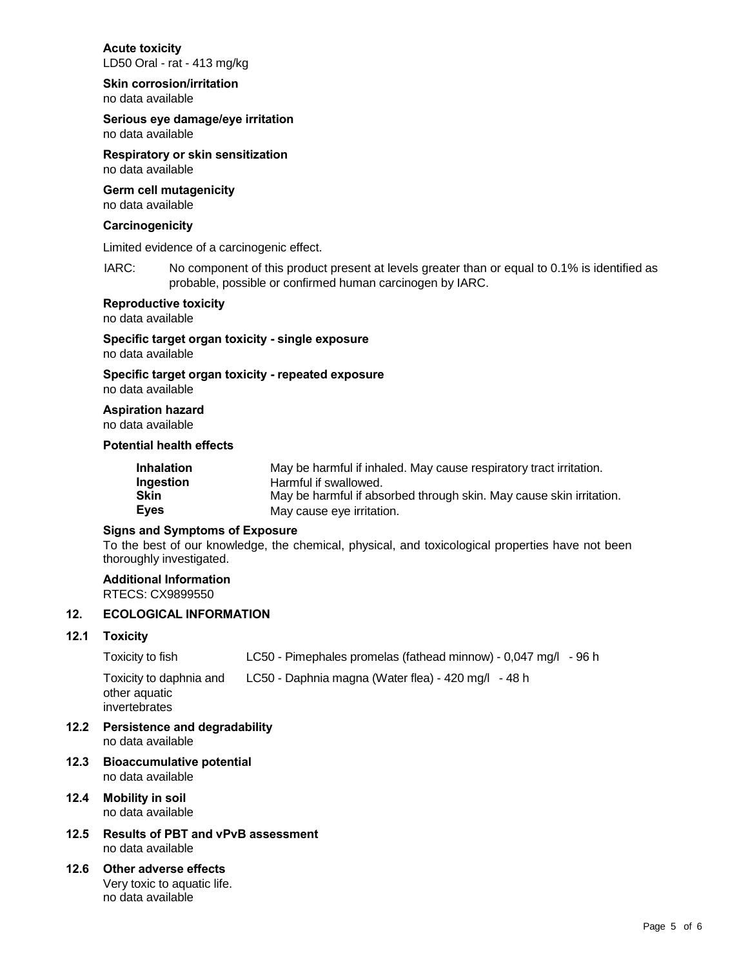# **Acute toxicity**

LD50 Oral - rat - 413 mg/kg

# **Skin corrosion/irritation**

no data available

# **Serious eye damage/eye irritation**

no data available

**Respiratory or skin sensitization** no data available

# **Germ cell mutagenicity**

no data available

# **Carcinogenicity**

Limited evidence of a carcinogenic effect.

IARC: No component of this product present at levels greater than or equal to 0.1% is identified as probable, possible or confirmed human carcinogen by IARC.

# **Reproductive toxicity**

no data available

# **Specific target organ toxicity - single exposure**

no data available

# **Specific target organ toxicity - repeated exposure**

no data available

# **Aspiration hazard**

no data available

# **Potential health effects**

| Inhalation  | May be harmful if inhaled. May cause respiratory tract irritation.  |
|-------------|---------------------------------------------------------------------|
| Ingestion   | Harmful if swallowed.                                               |
| Skin        | May be harmful if absorbed through skin. May cause skin irritation. |
| <b>Eyes</b> | May cause eye irritation.                                           |

# **Signs and Symptoms of Exposure**

To the best of our knowledge, the chemical, physical, and toxicological properties have not been thoroughly investigated.

#### **Additional Information** RTECS: CX9899550

# **12. ECOLOGICAL INFORMATION**

# **12.1 Toxicity**

Toxicity to fish LC50 - Pimephales promelas (fathead minnow) - 0,047 mg/l - 96 h Toxicity to daphnia and LC50 - Daphnia magna (Water flea) - 420 mg/l - 48 h other aquatic

invertebrates

- **12.2 Persistence and degradability** no data available
- **12.3 Bioaccumulative potential** no data available
- **12.4 Mobility in soil** no data available
- **12.5 Results of PBT and vPvB assessment** no data available
- **12.6 Other adverse effects** Very toxic to aquatic life. no data available